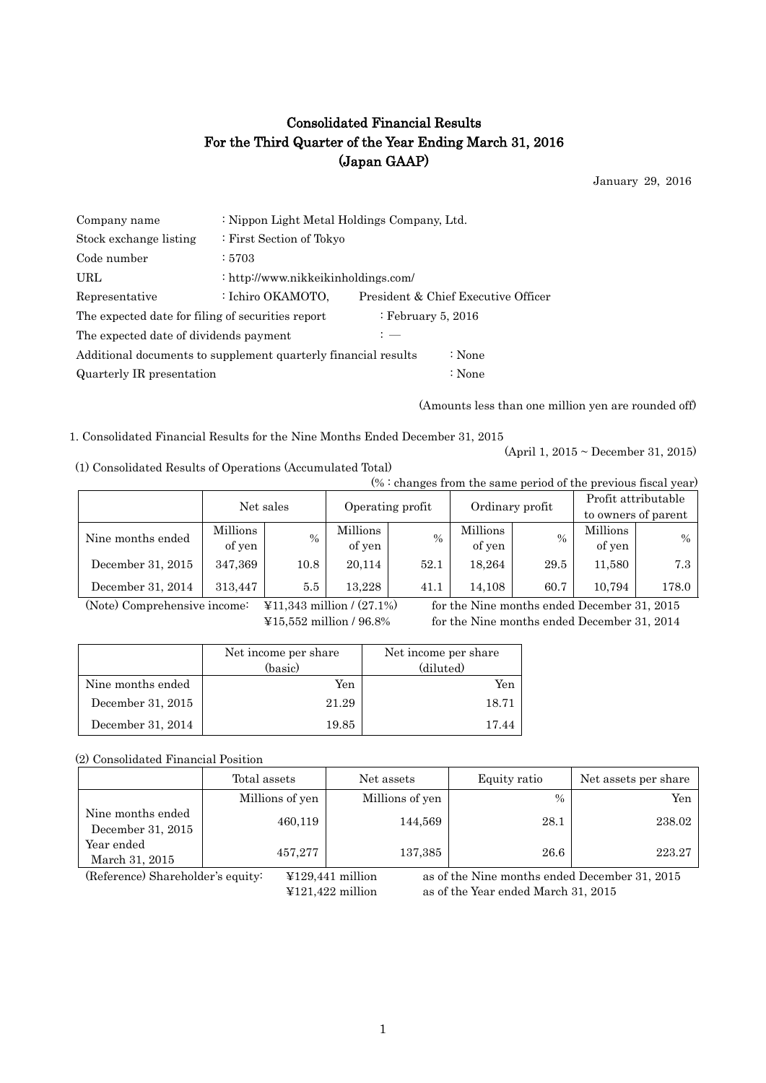# Consolidated Financial Results For the Third Quarter of the Year Ending March 31, 2016 (Japan GAAP)

January 29, 2016

| Company name                                                   | : Nippon Light Metal Holdings Company, Ltd. |        |                                     |  |  |  |
|----------------------------------------------------------------|---------------------------------------------|--------|-------------------------------------|--|--|--|
| Stock exchange listing                                         | : First Section of Tokyo                    |        |                                     |  |  |  |
| Code number                                                    | : 5703                                      |        |                                     |  |  |  |
| URL                                                            | : http://www.nikkeikinholdings.com/         |        |                                     |  |  |  |
| Representative                                                 | : Ichiro OKAMOTO,                           |        | President & Chief Executive Officer |  |  |  |
| The expected date for filing of securities report              | : February 5, 2016                          |        |                                     |  |  |  |
| The expected date of dividends payment                         | $: -$                                       |        |                                     |  |  |  |
| Additional documents to supplement quarterly financial results |                                             | : None |                                     |  |  |  |
| Quarterly IR presentation                                      |                                             | : None |                                     |  |  |  |

(Amounts less than one million yen are rounded off)

1. Consolidated Financial Results for the Nine Months Ended December 31, 2015

(1) Consolidated Results of Operations (Accumulated Total)

 $(% : \text{changes from the same period of the previous fixed year})$ 

(April 1, 2015 ~ December 31, 2015)

|                   | $\sqrt{2}$ . Changes from the same period of the previous fiscal vear) |      |                    |      |                    |               |                                            |       |  |
|-------------------|------------------------------------------------------------------------|------|--------------------|------|--------------------|---------------|--------------------------------------------|-------|--|
|                   | Net sales                                                              |      | Operating profit   |      | Ordinary profit    |               | Profit attributable<br>to owners of parent |       |  |
|                   |                                                                        |      |                    |      |                    |               |                                            |       |  |
| Nine months ended | Millions<br>of yen                                                     | $\%$ | Millions<br>of yen | $\%$ | Millions<br>of yen | $\frac{0}{0}$ | Millions<br>of yen                         | $\%$  |  |
| December 31, 2015 | 347,369                                                                | 10.8 | 20.114             | 52.1 | 18.264             | 29.5          | 11,580                                     | 7.3   |  |
| December 31, 2014 | 313.447                                                                | 5.5  | 13.228             | 41.1 | 14.108             | 60.7          | 10.794                                     | 178.0 |  |

(Note) Comprehensive income: ¥11,343 million / (27.1%) for the Nine months ended December 31, 2015

¥15,552 million / 96.8% for the Nine months ended December 31, 2014

|                   | Net income per share<br>(basic) | Net income per share<br>(diluted) |
|-------------------|---------------------------------|-----------------------------------|
| Nine months ended | Yen                             | Yen                               |
| December 31, 2015 | 21.29                           | 18.71                             |
| December 31, 2014 | 19.85                           | 17.44                             |

### (2) Consolidated Financial Position

|                                        | Total assets    | Net assets      | Equity ratio | Net assets per share |
|----------------------------------------|-----------------|-----------------|--------------|----------------------|
|                                        | Millions of yen | Millions of yen | $\%$         | Yen                  |
| Nine months ended<br>December 31, 2015 | 460,119         | 144,569         | 28.1         | 238.02               |
| Year ended<br>March 31, 2015           | 457,277         | 137,385         | 26.6         | 223.27               |

(Reference) Shareholder's equity: ¥129,441 million as of the Nine months ended December 31, 2015 ¥121,422 million as of the Year ended March 31, 2015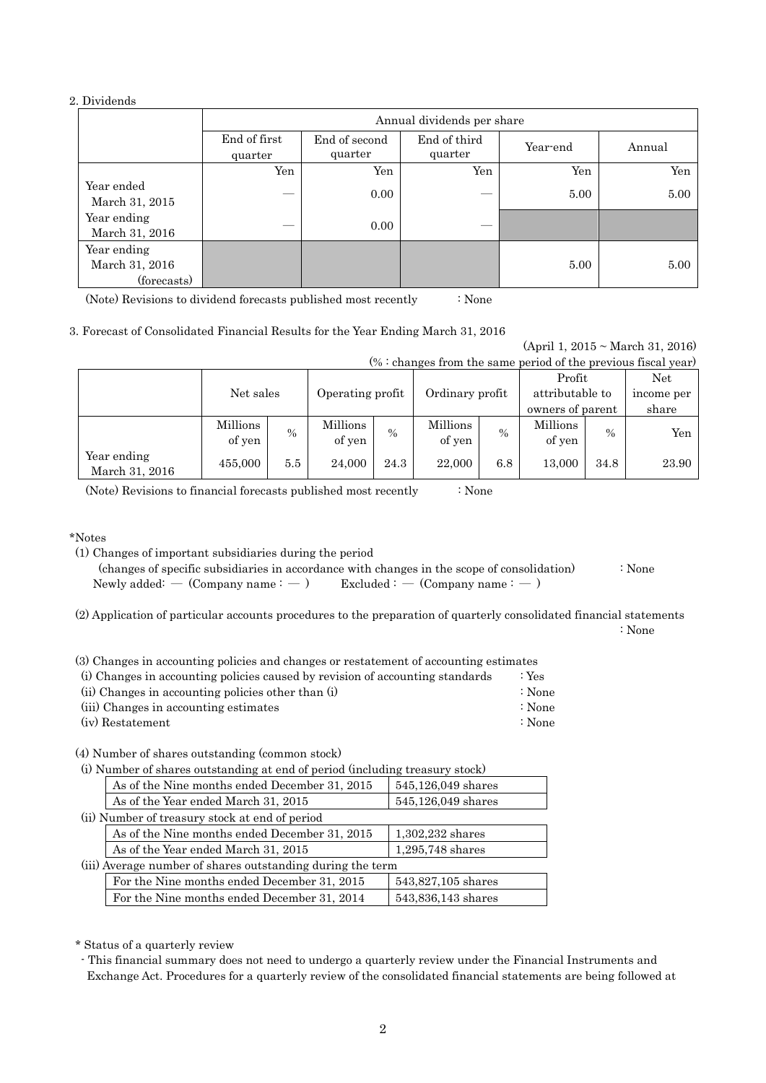### 2. Dividends

|                                              | Annual dividends per share |                          |                         |          |        |  |  |  |
|----------------------------------------------|----------------------------|--------------------------|-------------------------|----------|--------|--|--|--|
|                                              | End of first<br>quarter    | End of second<br>quarter | End of third<br>quarter | Year-end | Annual |  |  |  |
|                                              | Yen                        | Yen                      | Yen                     | Yen      | Yen    |  |  |  |
| Year ended<br>March 31, 2015                 |                            | 0.00                     |                         | 5.00     | 5.00   |  |  |  |
| Year ending<br>March 31, 2016                |                            | 0.00                     |                         |          |        |  |  |  |
| Year ending<br>March 31, 2016<br>(forecasts) |                            |                          |                         | 5.00     | 5.00   |  |  |  |

(Note) Revisions to dividend forecasts published most recently : None

|  |  | 3. Forecast of Consolidated Financial Results for the Year Ending March 31, 2016 |  |  |  |  |  |  |  |  |
|--|--|----------------------------------------------------------------------------------|--|--|--|--|--|--|--|--|
|--|--|----------------------------------------------------------------------------------|--|--|--|--|--|--|--|--|

| $% :$ changes from the same period of the previous fiscal year) |           |               |                  |        |                 |               |                  |      |            |  |
|-----------------------------------------------------------------|-----------|---------------|------------------|--------|-----------------|---------------|------------------|------|------------|--|
|                                                                 |           |               |                  |        |                 |               | Profit           |      | Net        |  |
|                                                                 | Net sales |               | Operating profit |        | Ordinary profit |               | attributable to  |      | income per |  |
|                                                                 |           |               |                  |        |                 |               | owners of parent |      | share      |  |
|                                                                 | Millions  | $\frac{0}{0}$ | Millions         | $\%$   | Millions        | $\frac{0}{0}$ | Millions         | $\%$ | Yen        |  |
|                                                                 | of yen    |               | of yen           | of yen |                 |               |                  |      |            |  |
| Year ending<br>March 31, 2016                                   | 455,000   | 5.5           | 24,000           | 24.3   | 22,000          | 6.8           | 13,000           | 34.8 | 23.90      |  |

(Note) Revisions to financial forecasts published most recently : None

#### \*Notes

(1) Changes of important subsidiaries during the period

 (changes of specific subsidiaries in accordance with changes in the scope of consolidation) : None Newly added: —  $(Comparing name: -)$  Excluded : —  $(Comparing name: -)$ 

(2) Application of particular accounts procedures to the preparation of quarterly consolidated financial statements

: None

(April 1, 2015 ~ March 31, 2016)

(3) Changes in accounting policies and changes or restatement of accounting estimates

| (i) Changes in accounting policies caused by revision of accounting standards | : $Yes$ |
|-------------------------------------------------------------------------------|---------|
| (ii) Changes in accounting policies other than (i)                            | :None   |
| (iii) Changes in accounting estimates                                         | :None   |
| (iv) Restatement                                                              | :None   |

(4) Number of shares outstanding (common stock)

(i) Number of shares outstanding at end of period (including treasury stock)

| As of the Nine months ended December 31, 2015              | 545,126,049 shares |
|------------------------------------------------------------|--------------------|
| As of the Year ended March 31, 2015                        | 545,126,049 shares |
| (ii) Number of treasury stock at end of period             |                    |
| As of the Nine months ended December 31, 2015              | $1,302,232$ shares |
| As of the Year ended March 31, 2015                        | 1,295,748 shares   |
| (iii) Average number of shares outstanding during the term |                    |
| For the Nine months ended December 31, 2015                | 543,827,105 shares |
| For the Nine months ended December 31, 2014                | 543,836,143 shares |

\* Status of a quarterly review

- This financial summary does not need to undergo a quarterly review under the Financial Instruments and Exchange Act. Procedures for a quarterly review of the consolidated financial statements are being followed at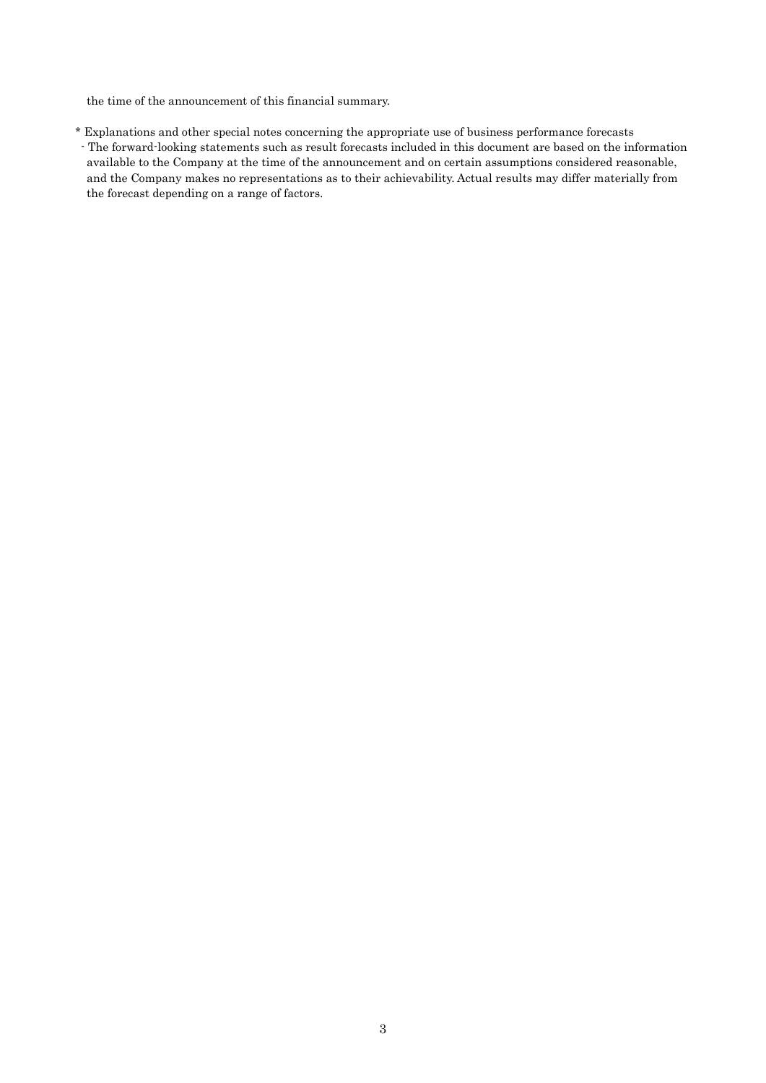the time of the announcement of this financial summary.

\* Explanations and other special notes concerning the appropriate use of business performance forecasts - The forward-looking statements such as result forecasts included in this document are based on the information available to the Company at the time of the announcement and on certain assumptions considered reasonable, and the Company makes no representations as to their achievability. Actual results may differ materially from the forecast depending on a range of factors.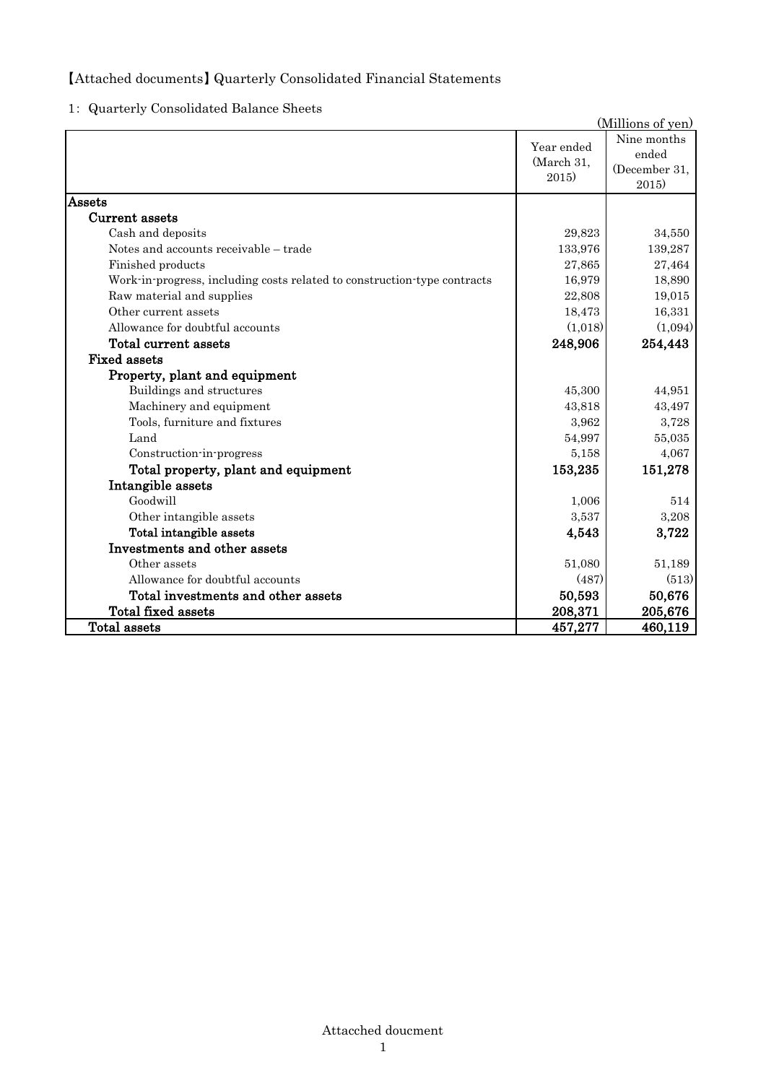## 【Attached documents】 Quarterly Consolidated Financial Statements

1: Quarterly Consolidated Balance Sheets

|                                                                          |                                   | (Millions of yen)                              |
|--------------------------------------------------------------------------|-----------------------------------|------------------------------------------------|
|                                                                          | Year ended<br>(March 31,<br>2015) | Nine months<br>ended<br>(December 31,<br>2015) |
| Assets                                                                   |                                   |                                                |
| Current assets                                                           |                                   |                                                |
| Cash and deposits                                                        | 29,823                            | 34,550                                         |
| Notes and accounts receivable - trade                                    | 133,976                           | 139,287                                        |
| Finished products                                                        | 27,865                            | 27,464                                         |
| Work-in-progress, including costs related to construction-type contracts | 16,979                            | 18,890                                         |
| Raw material and supplies                                                | 22,808                            | 19,015                                         |
| Other current assets                                                     | 18,473                            | 16,331                                         |
| Allowance for doubtful accounts                                          | (1,018)                           | (1,094)                                        |
| Total current assets                                                     | 248,906                           | 254,443                                        |
| <b>Fixed assets</b>                                                      |                                   |                                                |
| Property, plant and equipment                                            |                                   |                                                |
| Buildings and structures                                                 | 45,300                            | 44,951                                         |
| Machinery and equipment                                                  | 43,818                            | 43,497                                         |
| Tools, furniture and fixtures                                            | 3,962                             | 3,728                                          |
| Land                                                                     | 54,997                            | 55,035                                         |
| Construction-in-progress                                                 | 5,158                             | 4,067                                          |
| Total property, plant and equipment                                      | 153,235                           | 151,278                                        |
| Intangible assets                                                        |                                   |                                                |
| Goodwill                                                                 | 1,006                             | 514                                            |
| Other intangible assets                                                  | 3,537                             | 3,208                                          |
| Total intangible assets                                                  | 4,543                             | 3,722                                          |
| Investments and other assets                                             |                                   |                                                |
| Other assets                                                             | 51,080                            | 51,189                                         |
| Allowance for doubtful accounts                                          | (487)                             | (513)                                          |
| Total investments and other assets                                       | 50,593                            | 50,676                                         |
| Total fixed assets                                                       | 208,371                           | 205,676                                        |
| <b>Total assets</b>                                                      | 457,277                           | 460,119                                        |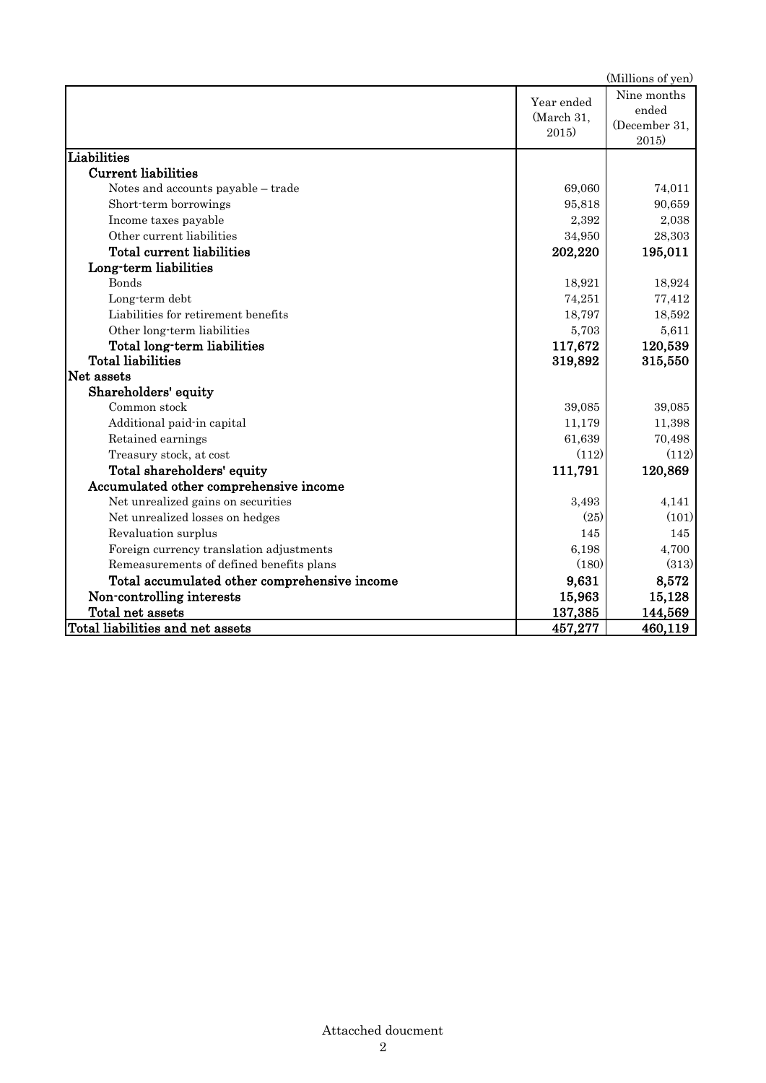|                                              |                                   | (Millions of yen)                              |
|----------------------------------------------|-----------------------------------|------------------------------------------------|
|                                              | Year ended<br>(March 31,<br>2015) | Nine months<br>ended<br>(December 31,<br>2015) |
| Liabilities                                  |                                   |                                                |
| <b>Current liabilities</b>                   |                                   |                                                |
| Notes and accounts payable – trade           | 69,060                            | 74,011                                         |
| Short-term borrowings                        | 95,818                            | 90,659                                         |
| Income taxes payable                         | 2,392                             | 2,038                                          |
| Other current liabilities                    | 34,950                            | 28,303                                         |
| <b>Total current liabilities</b>             | 202,220                           | 195,011                                        |
| Long-term liabilities                        |                                   |                                                |
| <b>Bonds</b>                                 | 18,921                            | 18,924                                         |
| Long-term debt                               | 74,251                            | 77,412                                         |
| Liabilities for retirement benefits          | 18,797                            | 18,592                                         |
| Other long-term liabilities                  | 5,703                             | 5,611                                          |
| Total long-term liabilities                  | 117,672                           | 120,539                                        |
| <b>Total liabilities</b>                     | 319,892                           | 315,550                                        |
| Net assets                                   |                                   |                                                |
| Shareholders' equity                         |                                   |                                                |
| Common stock                                 | 39,085                            | 39,085                                         |
| Additional paid-in capital                   | 11,179                            | 11,398                                         |
| Retained earnings                            | 61,639                            | 70,498                                         |
| Treasury stock, at cost                      | (112)                             | (112)                                          |
| Total shareholders' equity                   | 111,791                           | 120,869                                        |
| Accumulated other comprehensive income       |                                   |                                                |
| Net unrealized gains on securities           | 3,493                             | 4,141                                          |
| Net unrealized losses on hedges              | (25)                              | (101)                                          |
| Revaluation surplus                          | 145                               | 145                                            |
| Foreign currency translation adjustments     | 6,198                             | 4,700                                          |
| Remeasurements of defined benefits plans     | (180)                             | (313)                                          |
| Total accumulated other comprehensive income | 9,631                             | 8,572                                          |
| Non-controlling interests                    | 15,963                            | 15,128                                         |
| Total net assets                             | 137,385                           | 144,569                                        |
| Total liabilities and net assets             | 457,277                           | 460,119                                        |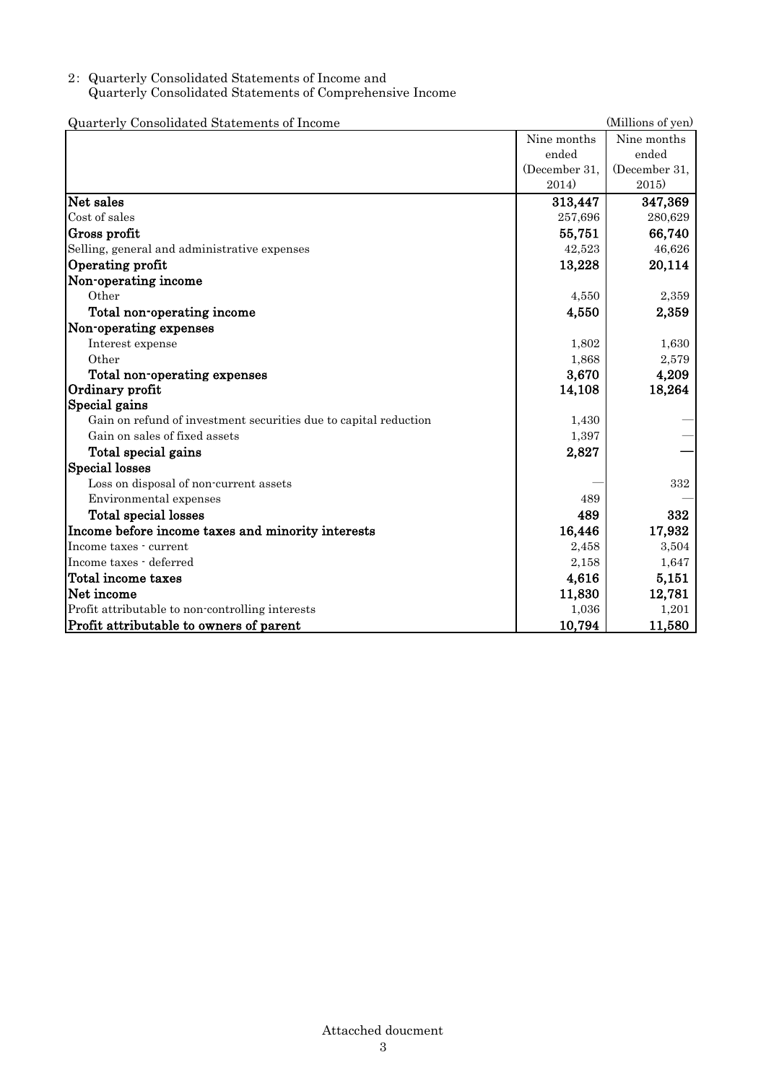## 2: Quarterly Consolidated Statements of Income and Quarterly Consolidated Statements of Comprehensive Income

| Quarterly Consolidated Statements of Income                      |               | (Millions of yen) |
|------------------------------------------------------------------|---------------|-------------------|
|                                                                  | Nine months   | Nine months       |
|                                                                  | ended         | ended             |
|                                                                  | (December 31, | (December 31,     |
|                                                                  | 2014)         | 2015)             |
| Net sales                                                        | 313,447       | 347,369           |
| Cost of sales                                                    | 257,696       | 280,629           |
| Gross profit                                                     | 55,751        | 66,740            |
| Selling, general and administrative expenses                     | 42,523        | 46,626            |
| Operating profit                                                 | 13,228        | 20,114            |
| Non-operating income                                             |               |                   |
| Other                                                            | 4,550         | 2,359             |
| Total non-operating income                                       | 4,550         | 2,359             |
| Non-operating expenses                                           |               |                   |
| Interest expense                                                 | 1,802         | 1,630             |
| Other                                                            | 1,868         | 2,579             |
| Total non-operating expenses                                     | 3,670         | 4,209             |
| Ordinary profit                                                  | 14,108        | 18,264            |
| Special gains                                                    |               |                   |
| Gain on refund of investment securities due to capital reduction | 1,430         |                   |
| Gain on sales of fixed assets                                    | 1,397         |                   |
| Total special gains                                              | 2,827         |                   |
| <b>Special losses</b>                                            |               |                   |
| Loss on disposal of non-current assets                           |               | 332               |
| Environmental expenses                                           | 489           |                   |
| Total special losses                                             | 489           | 332               |
| Income before income taxes and minority interests                | 16,446        | 17,932            |
| Income taxes - current                                           | 2,458         | 3,504             |
| Income taxes - deferred                                          | 2,158         | 1,647             |
| Total income taxes                                               | 4,616         | 5,151             |
| Net income                                                       | 11,830        | 12,781            |
| Profit attributable to non-controlling interests                 | 1,036         | 1,201             |
| Profit attributable to owners of parent                          | 10,794        | 11,580            |